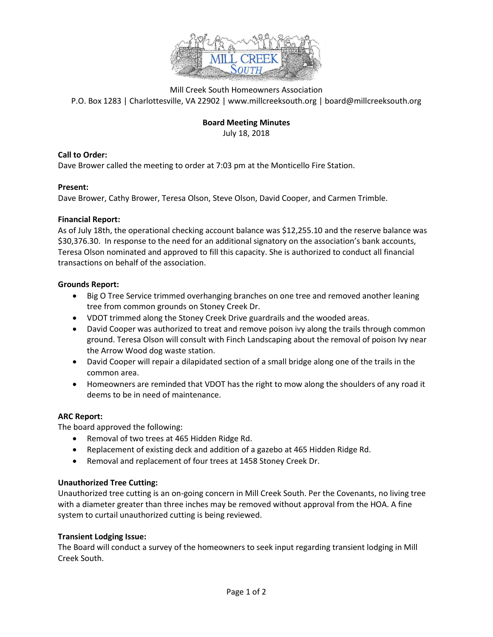

Mill Creek South Homeowners Association P.O. Box 1283 | Charlottesville, VA 22902 | www.millcreeksouth.org | board@millcreeksouth.org

# **Board Meeting Minutes**

July 18, 2018

### **Call to Order:**

Dave Brower called the meeting to order at 7:03 pm at the Monticello Fire Station.

### **Present:**

Dave Brower, Cathy Brower, Teresa Olson, Steve Olson, David Cooper, and Carmen Trimble.

#### **Financial Report:**

As of July 18th, the operational checking account balance was \$12,255.10 and the reserve balance was \$30,376.30. In response to the need for an additional signatory on the association's bank accounts, Teresa Olson nominated and approved to fill this capacity. She is authorized to conduct all financial transactions on behalf of the association.

#### **Grounds Report:**

- Big O Tree Service trimmed overhanging branches on one tree and removed another leaning tree from common grounds on Stoney Creek Dr.
- VDOT trimmed along the Stoney Creek Drive guardrails and the wooded areas.
- David Cooper was authorized to treat and remove poison ivy along the trails through common ground. Teresa Olson will consult with Finch Landscaping about the removal of poison Ivy near the Arrow Wood dog waste station.
- David Cooper will repair a dilapidated section of a small bridge along one of the trails in the common area.
- Homeowners are reminded that VDOT has the right to mow along the shoulders of any road it deems to be in need of maintenance.

### **ARC Report:**

The board approved the following:

- Removal of two trees at 465 Hidden Ridge Rd.
- Replacement of existing deck and addition of a gazebo at 465 Hidden Ridge Rd.
- Removal and replacement of four trees at 1458 Stoney Creek Dr.

### **Unauthorized Tree Cutting:**

Unauthorized tree cutting is an on-going concern in Mill Creek South. Per the Covenants, no living tree with a diameter greater than three inches may be removed without approval from the HOA. A fine system to curtail unauthorized cutting is being reviewed.

### **Transient Lodging Issue:**

The Board will conduct a survey of the homeowners to seek input regarding transient lodging in Mill Creek South.